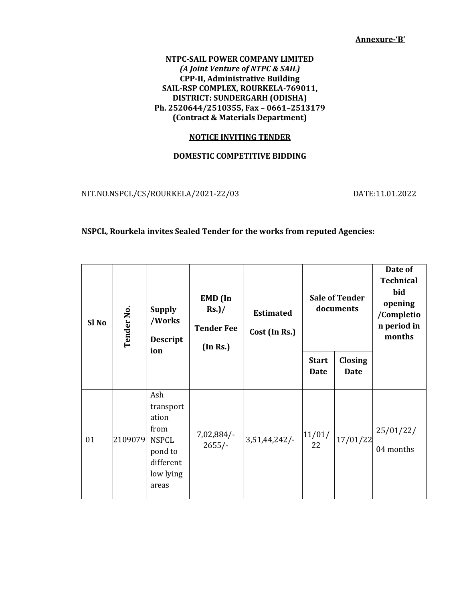#### **Annexure-'B'**

### **NTPC-SAIL POWER COMPANY LIMITED** *(A Joint Venture of NTPC & SAIL)* **CPP-II, Administrative Building SAIL-RSP COMPLEX, ROURKELA-769011, DISTRICT: SUNDERGARH (ODISHA) Ph. 2520644/2510355, Fax – 0661–2513179 (Contract & Materials Department)**

#### **NOTICE INVITING TENDER**

## **DOMESTIC COMPETITIVE BIDDING**

NIT.NO.NSPCL/CS/ROURKELA/2021-22/03 DATE:11.01.2022

# **NSPCL, Rourkela invites Sealed Tender for the works from reputed Agencies:**

| Sl <sub>No</sub> | Tender No. | <b>Supply</b><br>/Works<br><b>Descript</b><br>ion                                               | EMD (In<br>$Rs.$ )/<br><b>Tender Fee</b><br>(In Rs.) | <b>Estimated</b><br>Cost (In Rs.)                                  | <b>Sale of Tender</b><br>documents |                        | Date of<br><b>Technical</b><br>bid<br>opening<br>/Completio<br>n period in<br>months |
|------------------|------------|-------------------------------------------------------------------------------------------------|------------------------------------------------------|--------------------------------------------------------------------|------------------------------------|------------------------|--------------------------------------------------------------------------------------|
|                  |            |                                                                                                 |                                                      |                                                                    | <b>Start</b><br><b>Date</b>        | Closing<br><b>Date</b> |                                                                                      |
| 01               | 2109079    | Ash<br>transport<br>ation<br>from<br><b>NSPCL</b><br>pond to<br>different<br>low lying<br>areas | 7,02,884/<br>$2655/-$                                | $3,51,44,242/$ - $\begin{array}{ c c c }\n 11/01/22\n \end{array}$ |                                    | 17/01/22               | 25/01/22/<br>04 months                                                               |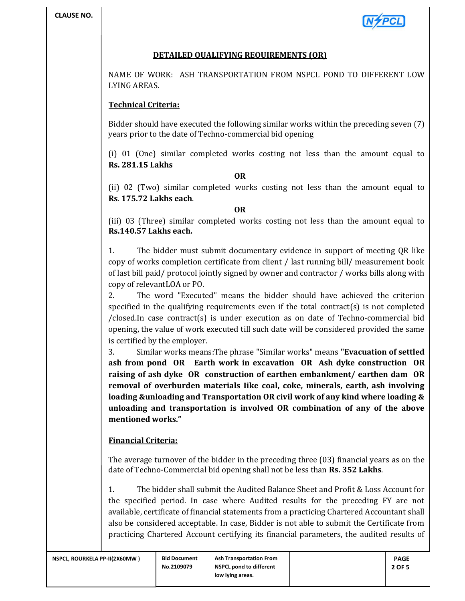| <b>CLAUSE NO.</b>                            |                                                                                                                                                                                                                                                                                                                                                                                                                                                                                                                   |                                                                                          |                                |  |             |  |  |
|----------------------------------------------|-------------------------------------------------------------------------------------------------------------------------------------------------------------------------------------------------------------------------------------------------------------------------------------------------------------------------------------------------------------------------------------------------------------------------------------------------------------------------------------------------------------------|------------------------------------------------------------------------------------------|--------------------------------|--|-------------|--|--|
| <b>DETAILED OUALIFYING REOUIREMENTS (OR)</b> |                                                                                                                                                                                                                                                                                                                                                                                                                                                                                                                   |                                                                                          |                                |  |             |  |  |
|                                              |                                                                                                                                                                                                                                                                                                                                                                                                                                                                                                                   | NAME OF WORK: ASH TRANSPORTATION FROM NSPCL POND TO DIFFERENT LOW<br><b>LYING AREAS.</b> |                                |  |             |  |  |
|                                              | <b>Technical Criteria:</b>                                                                                                                                                                                                                                                                                                                                                                                                                                                                                        |                                                                                          |                                |  |             |  |  |
|                                              | Bidder should have executed the following similar works within the preceding seven (7)<br>years prior to the date of Techno-commercial bid opening                                                                                                                                                                                                                                                                                                                                                                |                                                                                          |                                |  |             |  |  |
|                                              | (i) 01 (One) similar completed works costing not less than the amount equal to<br><b>Rs. 281.15 Lakhs</b>                                                                                                                                                                                                                                                                                                                                                                                                         |                                                                                          |                                |  |             |  |  |
|                                              |                                                                                                                                                                                                                                                                                                                                                                                                                                                                                                                   |                                                                                          | <b>OR</b>                      |  |             |  |  |
|                                              | (ii) 02 (Two) similar completed works costing not less than the amount equal to<br>Rs. 175.72 Lakhs each.                                                                                                                                                                                                                                                                                                                                                                                                         |                                                                                          |                                |  |             |  |  |
|                                              |                                                                                                                                                                                                                                                                                                                                                                                                                                                                                                                   | <b>OR</b>                                                                                |                                |  |             |  |  |
|                                              | (iii) 03 (Three) similar completed works costing not less than the amount equal to<br>Rs.140.57 Lakhs each.                                                                                                                                                                                                                                                                                                                                                                                                       |                                                                                          |                                |  |             |  |  |
|                                              | The bidder must submit documentary evidence in support of meeting QR like<br>1.<br>copy of works completion certificate from client / last running bill/ measurement book<br>of last bill paid/ protocol jointly signed by owner and contractor / works bills along with<br>copy of relevantLOA or PO.<br>The word "Executed" means the bidder should have achieved the criterion<br>2.                                                                                                                           |                                                                                          |                                |  |             |  |  |
|                                              | specified in the qualifying requirements even if the total contract(s) is not completed<br>/closed.In case contract(s) is under execution as on date of Techno-commercial bid<br>opening, the value of work executed till such date will be considered provided the same<br>is certified by the employer.                                                                                                                                                                                                         |                                                                                          |                                |  |             |  |  |
|                                              | 3.<br>Similar works means: The phrase "Similar works" means "Evacuation of settled<br>ash from pond OR Earth work in excavation OR Ash dyke construction OR<br>raising of ash dyke OR construction of earthen embankment/earthen dam OR<br>removal of overburden materials like coal, coke, minerals, earth, ash involving<br>loading &unloading and Transportation OR civil work of any kind where loading &<br>unloading and transportation is involved OR combination of any of the above<br>mentioned works." |                                                                                          |                                |  |             |  |  |
|                                              | <b>Financial Criteria:</b>                                                                                                                                                                                                                                                                                                                                                                                                                                                                                        |                                                                                          |                                |  |             |  |  |
|                                              | The average turnover of the bidder in the preceding three (03) financial years as on the<br>date of Techno-Commercial bid opening shall not be less than Rs. 352 Lakhs.                                                                                                                                                                                                                                                                                                                                           |                                                                                          |                                |  |             |  |  |
|                                              | The bidder shall submit the Audited Balance Sheet and Profit & Loss Account for<br>1.<br>the specified period. In case where Audited results for the preceding FY are not<br>available, certificate of financial statements from a practicing Chartered Accountant shall<br>also be considered acceptable. In case, Bidder is not able to submit the Certificate from<br>practicing Chartered Account certifying its financial parameters, the audited results of                                                 |                                                                                          |                                |  |             |  |  |
| NSPCL, ROURKELA PP-II(2X60MW)                |                                                                                                                                                                                                                                                                                                                                                                                                                                                                                                                   | <b>Bid Document</b>                                                                      | <b>Ash Transportation From</b> |  | <b>PAGE</b> |  |  |
|                                              |                                                                                                                                                                                                                                                                                                                                                                                                                                                                                                                   | No.2109079                                                                               | <b>NSPCL pond to different</b> |  | 2 OF 5      |  |  |

**low lying areas.**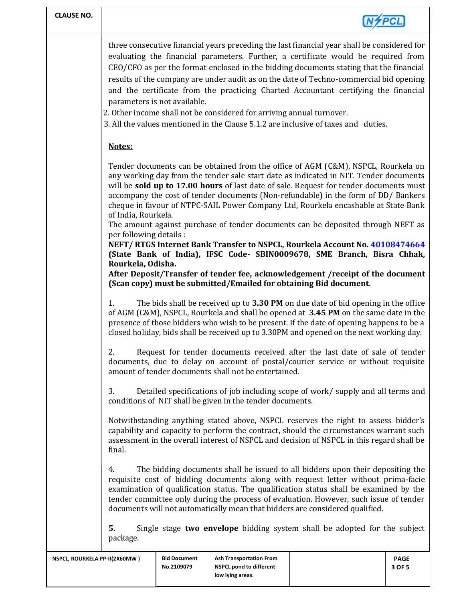| <b>CLAUSE NO.</b>             |                                                                                                                                                                                                                                                                                                                                                                                                                                              |                                                                                                                                                                                                                                                                                                                                                                                                                                                                                                                                                                                                                                                                                                                                                                                  |                                                                                                                                                                                                                                                                                                                                                                  |                                                                                                                                                                                                                                                                                                                                                                                                                                                                                                                                                    |                |  |
|-------------------------------|----------------------------------------------------------------------------------------------------------------------------------------------------------------------------------------------------------------------------------------------------------------------------------------------------------------------------------------------------------------------------------------------------------------------------------------------|----------------------------------------------------------------------------------------------------------------------------------------------------------------------------------------------------------------------------------------------------------------------------------------------------------------------------------------------------------------------------------------------------------------------------------------------------------------------------------------------------------------------------------------------------------------------------------------------------------------------------------------------------------------------------------------------------------------------------------------------------------------------------------|------------------------------------------------------------------------------------------------------------------------------------------------------------------------------------------------------------------------------------------------------------------------------------------------------------------------------------------------------------------|----------------------------------------------------------------------------------------------------------------------------------------------------------------------------------------------------------------------------------------------------------------------------------------------------------------------------------------------------------------------------------------------------------------------------------------------------------------------------------------------------------------------------------------------------|----------------|--|
|                               |                                                                                                                                                                                                                                                                                                                                                                                                                                              | parameters is not available.                                                                                                                                                                                                                                                                                                                                                                                                                                                                                                                                                                                                                                                                                                                                                     | 2. Other income shall not be considered for arriving annual turnover.                                                                                                                                                                                                                                                                                            | three consecutive financial years preceding the last financial year shall be considered for<br>evaluating the financial parameters. Further, a certificate would be required from<br>CEO/CFO as per the format enclosed in the bidding documents stating that the financial<br>results of the company are under audit as on the date of Techno-commercial bid opening<br>and the certificate from the practicing Charted Accountant certifying the financial<br>3. All the values mentioned in the Clause 5.1.2 are inclusive of taxes and duties. |                |  |
|                               | Notes:                                                                                                                                                                                                                                                                                                                                                                                                                                       |                                                                                                                                                                                                                                                                                                                                                                                                                                                                                                                                                                                                                                                                                                                                                                                  |                                                                                                                                                                                                                                                                                                                                                                  |                                                                                                                                                                                                                                                                                                                                                                                                                                                                                                                                                    |                |  |
|                               | of India, Rourkela.<br>per following details :<br>Rourkela, Odisha.                                                                                                                                                                                                                                                                                                                                                                          | Tender documents can be obtained from the office of AGM (C&M), NSPCL, Rourkela on<br>any working day from the tender sale start date as indicated in NIT. Tender documents<br>will be sold up to 17.00 hours of last date of sale. Request for tender documents must<br>accompany the cost of tender documents (Non-refundable) in the form of DD/ Bankers<br>cheque in favour of NTPC-SAIL Power Company Ltd, Rourkela encashable at State Bank<br>The amount against purchase of tender documents can be deposited through NEFT as<br>NEFT/RTGS Internet Bank Transfer to NSPCL, Rourkela Account No. 40108474664<br>(State Bank of India), IFSC Code- SBIN0009678, SME Branch, Bisra Chhak,<br>After Deposit/Transfer of tender fee, acknowledgement /receipt of the document |                                                                                                                                                                                                                                                                                                                                                                  |                                                                                                                                                                                                                                                                                                                                                                                                                                                                                                                                                    |                |  |
|                               | (Scan copy) must be submitted/Emailed for obtaining Bid document.                                                                                                                                                                                                                                                                                                                                                                            |                                                                                                                                                                                                                                                                                                                                                                                                                                                                                                                                                                                                                                                                                                                                                                                  |                                                                                                                                                                                                                                                                                                                                                                  |                                                                                                                                                                                                                                                                                                                                                                                                                                                                                                                                                    |                |  |
|                               | 1.                                                                                                                                                                                                                                                                                                                                                                                                                                           |                                                                                                                                                                                                                                                                                                                                                                                                                                                                                                                                                                                                                                                                                                                                                                                  | The bids shall be received up to 3.30 PM on due date of bid opening in the office<br>of AGM (C&M), NSPCL, Rourkela and shall be opened at 3.45 PM on the same date in the<br>presence of those bidders who wish to be present. If the date of opening happens to be a<br>closed holiday, bids shall be received up to 3.30PM and opened on the next working day. |                                                                                                                                                                                                                                                                                                                                                                                                                                                                                                                                                    |                |  |
|                               | 2.                                                                                                                                                                                                                                                                                                                                                                                                                                           |                                                                                                                                                                                                                                                                                                                                                                                                                                                                                                                                                                                                                                                                                                                                                                                  | amount of tender documents shall not be entertained.                                                                                                                                                                                                                                                                                                             | Request for tender documents received after the last date of sale of tender<br>documents, due to delay on account of postal/courier service or without requisite                                                                                                                                                                                                                                                                                                                                                                                   |                |  |
|                               | 3.                                                                                                                                                                                                                                                                                                                                                                                                                                           |                                                                                                                                                                                                                                                                                                                                                                                                                                                                                                                                                                                                                                                                                                                                                                                  | conditions of NIT shall be given in the tender documents.                                                                                                                                                                                                                                                                                                        | Detailed specifications of job including scope of work/supply and all terms and                                                                                                                                                                                                                                                                                                                                                                                                                                                                    |                |  |
|                               | Notwithstanding anything stated above, NSPCL reserves the right to assess bidder's<br>capability and capacity to perform the contract, should the circumstances warrant such<br>assessment in the overall interest of NSPCL and decision of NSPCL in this regard shall be<br>final.                                                                                                                                                          |                                                                                                                                                                                                                                                                                                                                                                                                                                                                                                                                                                                                                                                                                                                                                                                  |                                                                                                                                                                                                                                                                                                                                                                  |                                                                                                                                                                                                                                                                                                                                                                                                                                                                                                                                                    |                |  |
|                               | The bidding documents shall be issued to all bidders upon their depositing the<br>4.<br>requisite cost of bidding documents along with request letter without prima-facie<br>examination of qualification status. The qualification status shall be examined by the<br>tender committee only during the process of evaluation. However, such issue of tender<br>documents will not automatically mean that bidders are considered qualified. |                                                                                                                                                                                                                                                                                                                                                                                                                                                                                                                                                                                                                                                                                                                                                                                  |                                                                                                                                                                                                                                                                                                                                                                  |                                                                                                                                                                                                                                                                                                                                                                                                                                                                                                                                                    |                |  |
|                               | 5.<br>package.                                                                                                                                                                                                                                                                                                                                                                                                                               |                                                                                                                                                                                                                                                                                                                                                                                                                                                                                                                                                                                                                                                                                                                                                                                  |                                                                                                                                                                                                                                                                                                                                                                  | Single stage two envelope bidding system shall be adopted for the subject                                                                                                                                                                                                                                                                                                                                                                                                                                                                          |                |  |
| NSPCL, ROURKELA PP-II(2X60MW) |                                                                                                                                                                                                                                                                                                                                                                                                                                              | <b>Bid Document</b><br>No.2109079                                                                                                                                                                                                                                                                                                                                                                                                                                                                                                                                                                                                                                                                                                                                                | <b>Ash Transportation From</b><br><b>NSPCL pond to different</b><br>low lying areas.                                                                                                                                                                                                                                                                             |                                                                                                                                                                                                                                                                                                                                                                                                                                                                                                                                                    | PAGE<br>3 OF 5 |  |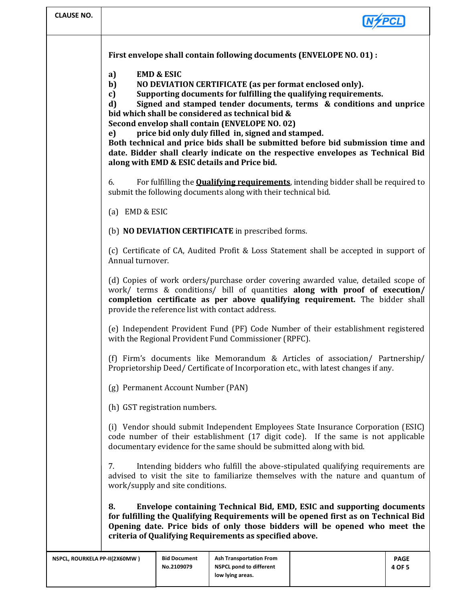| <b>CLAUSE NO.</b>                                                                                          |                                                                                                                                                                                                                                                                                                             |                                    |                                                                                                                                                                                                                                                                     |                                                                                                                                                                                                                                                                                                                                                                                        |                       |  |  |
|------------------------------------------------------------------------------------------------------------|-------------------------------------------------------------------------------------------------------------------------------------------------------------------------------------------------------------------------------------------------------------------------------------------------------------|------------------------------------|---------------------------------------------------------------------------------------------------------------------------------------------------------------------------------------------------------------------------------------------------------------------|----------------------------------------------------------------------------------------------------------------------------------------------------------------------------------------------------------------------------------------------------------------------------------------------------------------------------------------------------------------------------------------|-----------------------|--|--|
|                                                                                                            | a)<br>b)<br>c)<br>d)<br>e)                                                                                                                                                                                                                                                                                  | <b>EMD &amp; ESIC</b>              | NO DEVIATION CERTIFICATE (as per format enclosed only).<br>bid which shall be considered as technical bid &<br>Second envelop shall contain (ENVELOPE NO. 02)<br>price bid only duly filled in, signed and stamped.<br>along with EMD & ESIC details and Price bid. | First envelope shall contain following documents (ENVELOPE NO. 01) :<br>Supporting documents for fulfilling the qualifying requirements.<br>Signed and stamped tender documents, terms & conditions and unprice<br>Both technical and price bids shall be submitted before bid submission time and<br>date. Bidder shall clearly indicate on the respective envelopes as Technical Bid |                       |  |  |
|                                                                                                            | 6.                                                                                                                                                                                                                                                                                                          |                                    | For fulfilling the <b>Qualifying requirements</b> , intending bidder shall be required to<br>submit the following documents along with their technical bid.                                                                                                         |                                                                                                                                                                                                                                                                                                                                                                                        |                       |  |  |
|                                                                                                            | (a) EMD & ESIC                                                                                                                                                                                                                                                                                              |                                    |                                                                                                                                                                                                                                                                     |                                                                                                                                                                                                                                                                                                                                                                                        |                       |  |  |
|                                                                                                            | (b) <b>NO DEVIATION CERTIFICATE</b> in prescribed forms.                                                                                                                                                                                                                                                    |                                    |                                                                                                                                                                                                                                                                     |                                                                                                                                                                                                                                                                                                                                                                                        |                       |  |  |
| (c) Certificate of CA, Audited Profit & Loss Statement shall be accepted in support of<br>Annual turnover. |                                                                                                                                                                                                                                                                                                             |                                    |                                                                                                                                                                                                                                                                     |                                                                                                                                                                                                                                                                                                                                                                                        |                       |  |  |
|                                                                                                            | (d) Copies of work orders/purchase order covering awarded value, detailed scope of<br>work/ terms & conditions/ bill of quantities along with proof of execution/<br>completion certificate as per above qualifying requirement. The bidder shall<br>provide the reference list with contact address.       |                                    |                                                                                                                                                                                                                                                                     |                                                                                                                                                                                                                                                                                                                                                                                        |                       |  |  |
|                                                                                                            | (e) Independent Provident Fund (PF) Code Number of their establishment registered<br>with the Regional Provident Fund Commissioner (RPFC).                                                                                                                                                                  |                                    |                                                                                                                                                                                                                                                                     |                                                                                                                                                                                                                                                                                                                                                                                        |                       |  |  |
|                                                                                                            |                                                                                                                                                                                                                                                                                                             |                                    |                                                                                                                                                                                                                                                                     | (f) Firm's documents like Memorandum & Articles of association/ Partnership/<br>Proprietorship Deed/ Certificate of Incorporation etc., with latest changes if any.                                                                                                                                                                                                                    |                       |  |  |
|                                                                                                            |                                                                                                                                                                                                                                                                                                             | (g) Permanent Account Number (PAN) |                                                                                                                                                                                                                                                                     |                                                                                                                                                                                                                                                                                                                                                                                        |                       |  |  |
|                                                                                                            | (h) GST registration numbers.                                                                                                                                                                                                                                                                               |                                    |                                                                                                                                                                                                                                                                     |                                                                                                                                                                                                                                                                                                                                                                                        |                       |  |  |
|                                                                                                            | (i) Vendor should submit Independent Employees State Insurance Corporation (ESIC)<br>code number of their establishment (17 digit code). If the same is not applicable<br>documentary evidence for the same should be submitted along with bid.                                                             |                                    |                                                                                                                                                                                                                                                                     |                                                                                                                                                                                                                                                                                                                                                                                        |                       |  |  |
|                                                                                                            | Intending bidders who fulfill the above-stipulated qualifying requirements are<br>7.<br>advised to visit the site to familiarize themselves with the nature and quantum of<br>work/supply and site conditions.                                                                                              |                                    |                                                                                                                                                                                                                                                                     |                                                                                                                                                                                                                                                                                                                                                                                        |                       |  |  |
|                                                                                                            | 8.<br>Envelope containing Technical Bid, EMD, ESIC and supporting documents<br>for fulfilling the Qualifying Requirements will be opened first as on Technical Bid<br>Opening date. Price bids of only those bidders will be opened who meet the<br>criteria of Qualifying Requirements as specified above. |                                    |                                                                                                                                                                                                                                                                     |                                                                                                                                                                                                                                                                                                                                                                                        |                       |  |  |
| NSPCL, ROURKELA PP-II(2X60MW)                                                                              |                                                                                                                                                                                                                                                                                                             | <b>Bid Document</b><br>No.2109079  | <b>Ash Transportation From</b><br><b>NSPCL pond to different</b><br>low lying areas.                                                                                                                                                                                |                                                                                                                                                                                                                                                                                                                                                                                        | <b>PAGE</b><br>4 OF 5 |  |  |